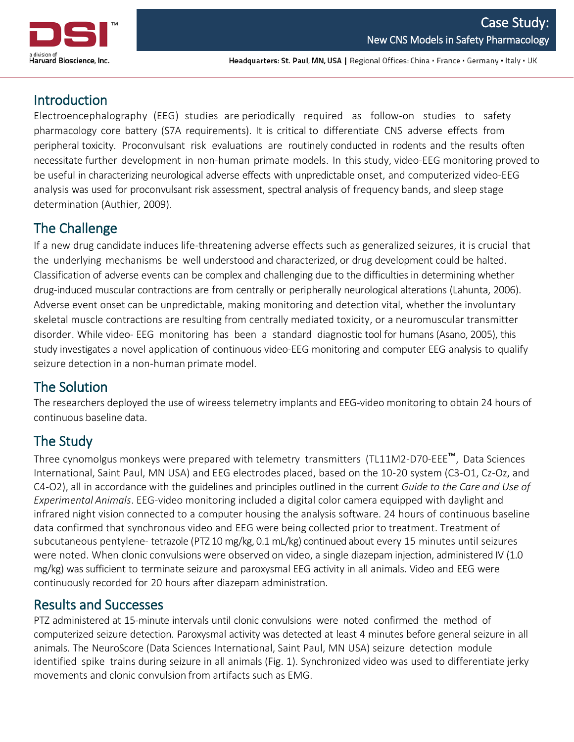

Headquarters: St. Paul, MN, USA | Regional Offices: China · France · Germany · Italy · UK

## **Introduction**

Electroencephalography (EEG) studies are periodically required as follow-on studies to safety pharmacology core battery (S7A requirements). It is critical to differentiate CNS adverse effects from peripheral toxicity. Proconvulsant risk evaluations are routinely conducted in rodents and the results often necessitate further development in non-human primate models. In this study, video-EEG monitoring proved to be useful in characterizing neurological adverse effects with unpredictable onset, and computerized video-EEG analysis was used for proconvulsant risk assessment, spectral analysis of frequency bands, and sleep stage determination (Authier, 2009).

# The Challenge

If a new drug candidate induces life-threatening adverse effects such as generalized seizures, it is crucial that the underlying mechanisms be well understood and characterized, or drug development could be halted. Classification of adverse events can be complex and challenging due to the difficultiesin determining whether drug-induced muscular contractions are from centrally or peripherally neurological alterations (Lahunta, 2006). Adverse event onset can be unpredictable, making monitoring and detection vital, whether the involuntary skeletal muscle contractions are resulting from centrally mediated toxicity, or a neuromuscular transmitter disorder. While video- EEG monitoring has been a standard diagnostic tool for humans (Asano, 2005), this study investigates a novel application of continuous video-EEG monitoring and computer EEG analysis to qualify seizure detection in a non-human primate model.

## The Solution

The researchers deployed the use of wireess telemetry implants and EEG-video monitoring to obtain 24 hours of continuous baseline data.

# The Study

Three cynomolgus monkeys were prepared with telemetry transmitters (TL11M2-D70-EEE™, Data Sciences International, Saint Paul, MN USA) and EEG electrodes placed, based on the 10-20 system (C3-O1, Cz-Oz, and C4-O2), all in accordance with the guidelines and principles outlined in the current *Guide to the Care and Use of Experimental Animals*. EEG-video monitoring included a digital color camera equipped with daylight and infrared night vision connected to a computer housing the analysis software. 24 hours of continuous baseline data confirmed that synchronous video and EEG were being collected prior to treatment. Treatment of subcutaneous pentylene- tetrazole (PTZ 10 mg/kg, 0.1 mL/kg) continued about every 15 minutes until seizures were noted. When clonic convulsions were observed on video, a single diazepam injection, administered IV (1.0 mg/kg) was sufficient to terminate seizure and paroxysmal EEG activity in all animals. Video and EEG were continuously recorded for 20 hours after diazepam administration.

## Results and Successes

PTZ administered at 15-minute intervals until clonic convulsions were noted confirmed the method of computerized seizure detection. Paroxysmal activity was detected at least 4 minutes before general seizure in all animals. The NeuroScore (Data Sciences International, Saint Paul, MN USA) seizure detection module identified spike trains during seizure in all animals (Fig. 1). Synchronized video was used to differentiate jerky movements and clonic convulsion from artifacts such as EMG.